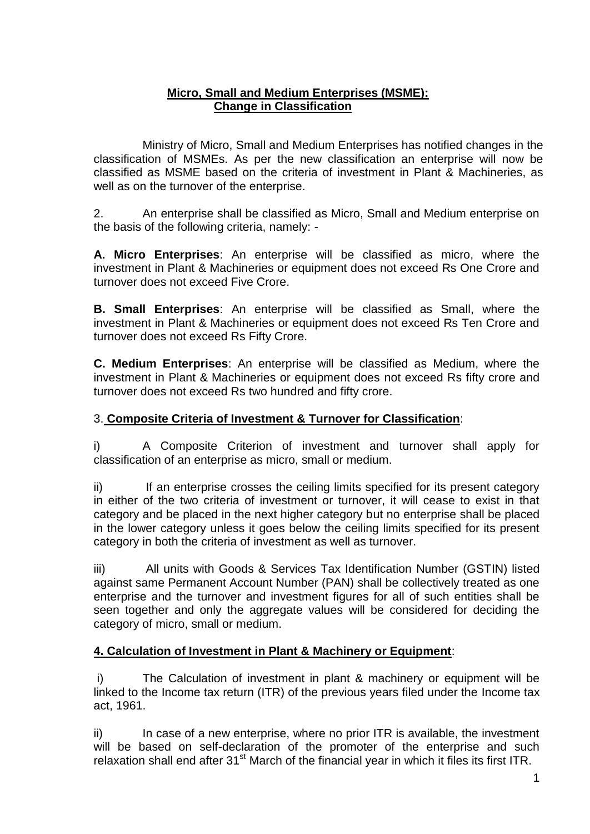## **Micro, Small and Medium Enterprises (MSME): Change in Classification**

Ministry of Micro, Small and Medium Enterprises has notified changes in the classification of MSMEs. As per the new classification an enterprise will now be classified as MSME based on the criteria of investment in Plant & Machineries, as well as on the turnover of the enterprise.

2. An enterprise shall be classified as Micro, Small and Medium enterprise on the basis of the following criteria, namely: -

**A. Micro Enterprises**: An enterprise will be classified as micro, where the investment in Plant & Machineries or equipment does not exceed Rs One Crore and turnover does not exceed Five Crore.

**B. Small Enterprises**: An enterprise will be classified as Small, where the investment in Plant & Machineries or equipment does not exceed Rs Ten Crore and turnover does not exceed Rs Fifty Crore.

**C. Medium Enterprises**: An enterprise will be classified as Medium, where the investment in Plant & Machineries or equipment does not exceed Rs fifty crore and turnover does not exceed Rs two hundred and fifty crore.

## 3. **Composite Criteria of Investment & Turnover for Classification**:

i) A Composite Criterion of investment and turnover shall apply for classification of an enterprise as micro, small or medium.

ii) If an enterprise crosses the ceiling limits specified for its present category in either of the two criteria of investment or turnover, it will cease to exist in that category and be placed in the next higher category but no enterprise shall be placed in the lower category unless it goes below the ceiling limits specified for its present category in both the criteria of investment as well as turnover.

iii) All units with Goods & Services Tax Identification Number (GSTIN) listed against same Permanent Account Number (PAN) shall be collectively treated as one enterprise and the turnover and investment figures for all of such entities shall be seen together and only the aggregate values will be considered for deciding the category of micro, small or medium.

# **4. Calculation of Investment in Plant & Machinery or Equipment**:

i) The Calculation of investment in plant & machinery or equipment will be linked to the Income tax return (ITR) of the previous years filed under the Income tax act, 1961.

ii) In case of a new enterprise, where no prior ITR is available, the investment will be based on self-declaration of the promoter of the enterprise and such relaxation shall end after  $31<sup>st</sup>$  March of the financial year in which it files its first ITR.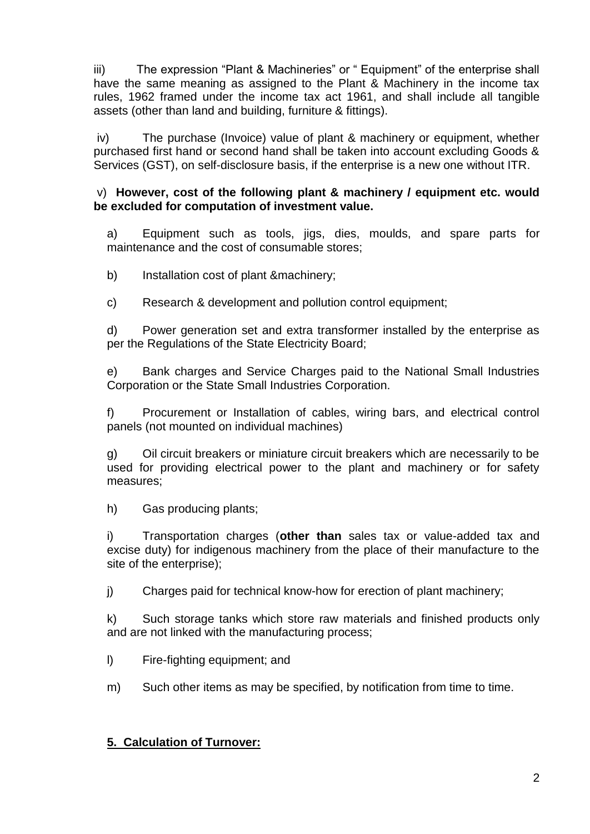iii) The expression "Plant & Machineries" or " Equipment" of the enterprise shall have the same meaning as assigned to the Plant & Machinery in the income tax rules, 1962 framed under the income tax act 1961, and shall include all tangible assets (other than land and building, furniture & fittings).

iv) The purchase (Invoice) value of plant & machinery or equipment, whether purchased first hand or second hand shall be taken into account excluding Goods & Services (GST), on self-disclosure basis, if the enterprise is a new one without ITR.

### v) **However, cost of the following plant & machinery / equipment etc. would be excluded for computation of investment value.**

a) Equipment such as tools, jigs, dies, moulds, and spare parts for maintenance and the cost of consumable stores;

b) Installation cost of plant &machinery;

c) Research & development and pollution control equipment;

d) Power generation set and extra transformer installed by the enterprise as per the Regulations of the State Electricity Board;

e) Bank charges and Service Charges paid to the National Small Industries Corporation or the State Small Industries Corporation.

f) Procurement or Installation of cables, wiring bars, and electrical control panels (not mounted on individual machines)

g) Oil circuit breakers or miniature circuit breakers which are necessarily to be used for providing electrical power to the plant and machinery or for safety measures;

h) Gas producing plants;

i) Transportation charges (**other than** sales tax or value-added tax and excise duty) for indigenous machinery from the place of their manufacture to the site of the enterprise);

j) Charges paid for technical know-how for erection of plant machinery;

k) Such storage tanks which store raw materials and finished products only and are not linked with the manufacturing process;

- l) Fire-fighting equipment; and
- m) Such other items as may be specified, by notification from time to time.

# **5. Calculation of Turnover:**